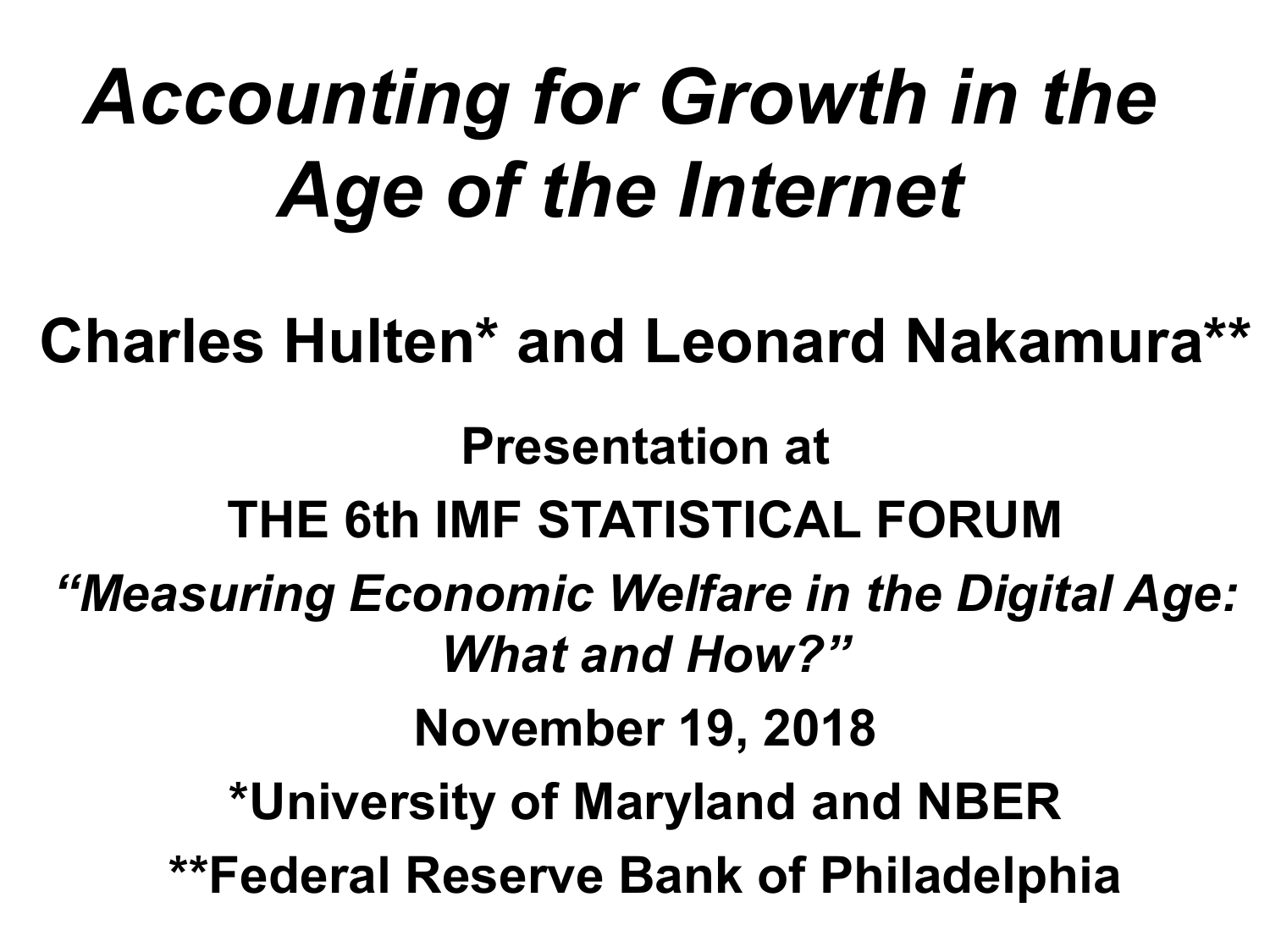# *Accounting for Growth in the Age of the Internet*

**Charles Hulten\* and Leonard Nakamura\*\***

**Presentation at THE 6th IMF STATISTICAL FORUM** *"Measuring Economic Welfare in the Digital Age: What and How?"* **November 19, 2018 \*University of Maryland and NBER \*\*Federal Reserve Bank of Philadelphia**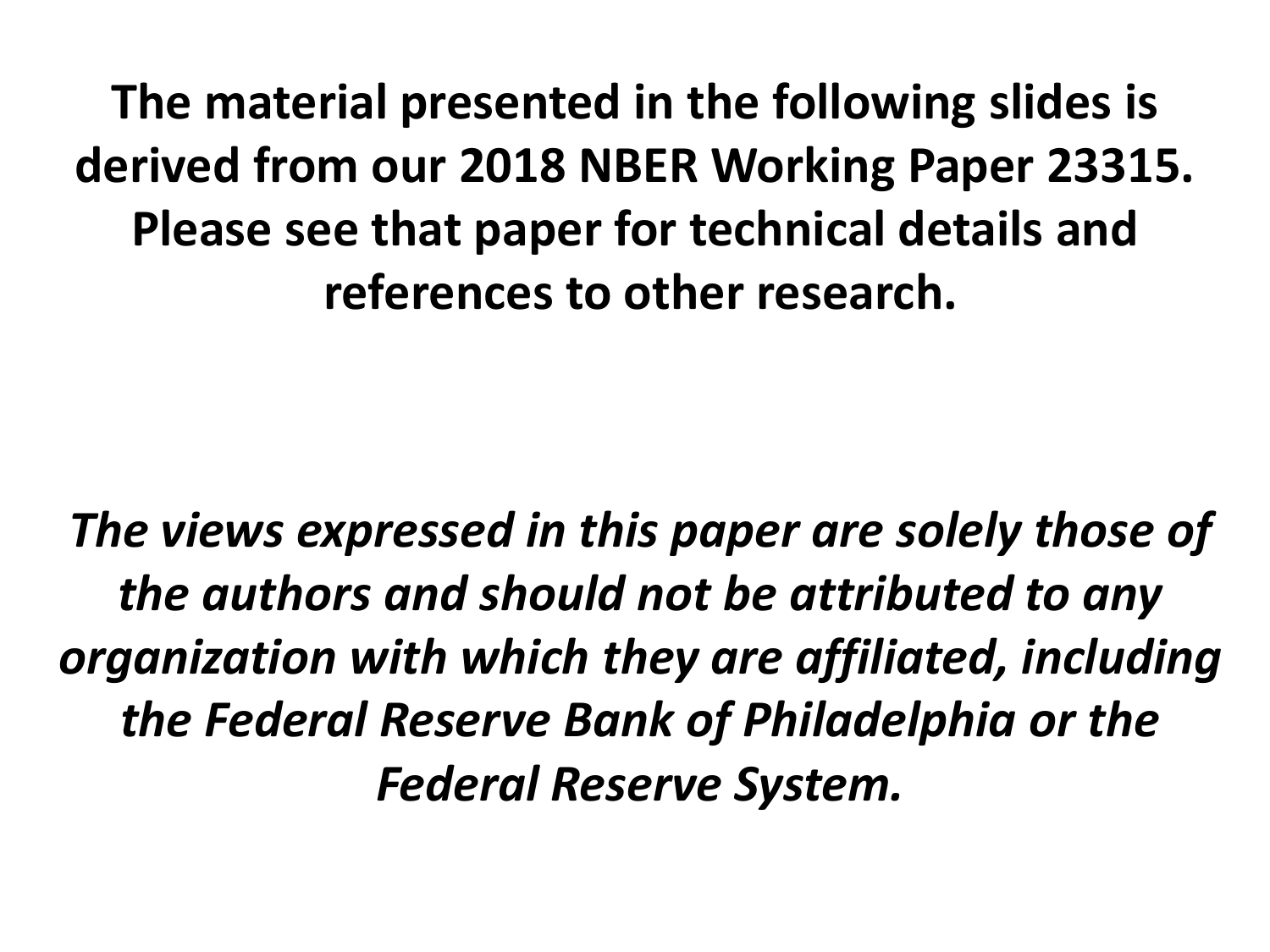**The material presented in the following slides is derived from our 2018 NBER Working Paper 23315. Please see that paper for technical details and references to other research.**

*The views expressed in this paper are solely those of the authors and should not be attributed to any organization with which they are affiliated, including the Federal Reserve Bank of Philadelphia or the Federal Reserve System.*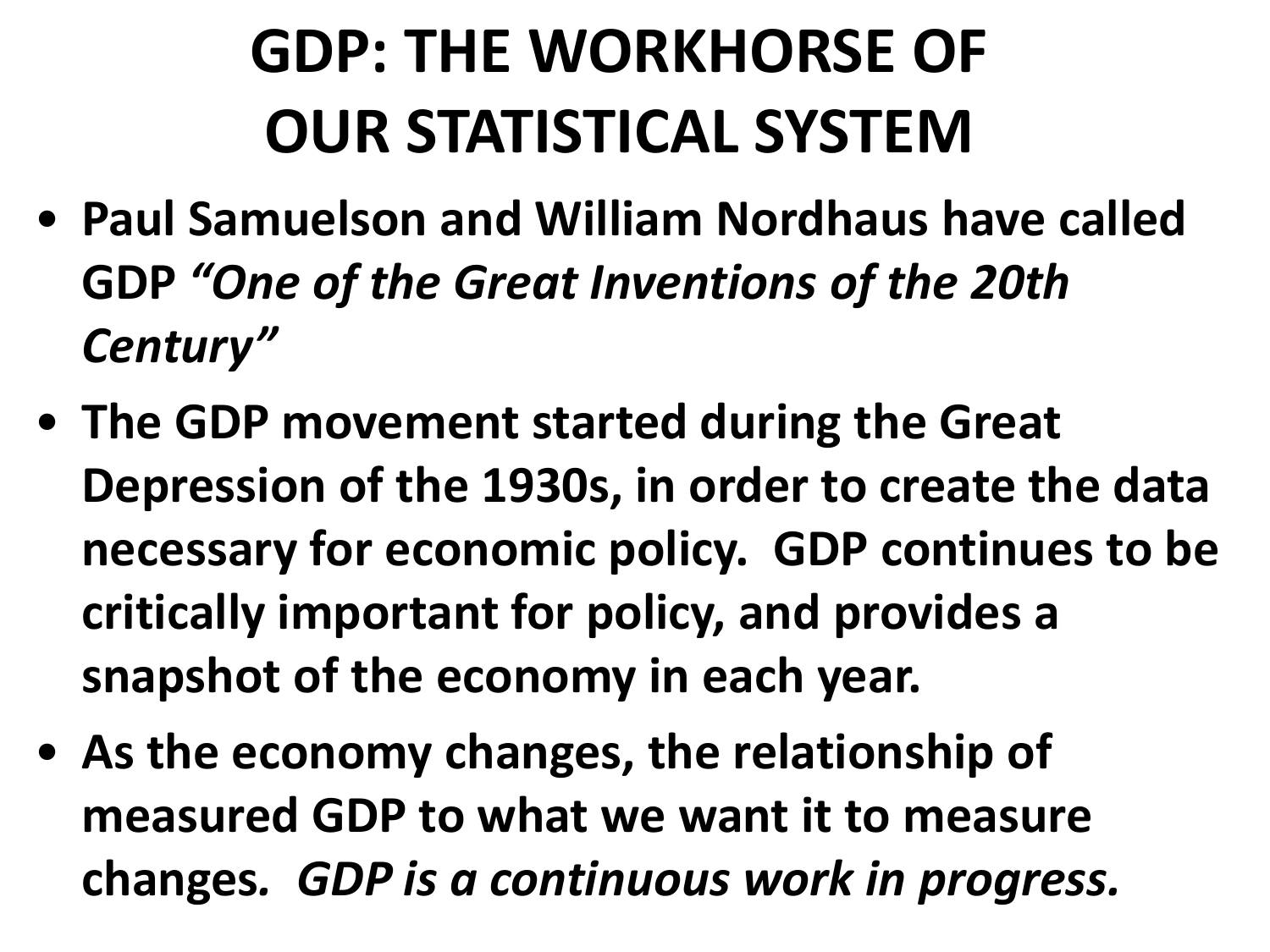### **GDP: THE WORKHORSE OF OUR STATISTICAL SYSTEM**

- **Paul Samuelson and William Nordhaus have called GDP** *"One of the Great Inventions of the 20th Century"*
- **The GDP movement started during the Great Depression of the 1930s, in order to create the data necessary for economic policy. GDP continues to be critically important for policy, and provides a snapshot of the economy in each year.**
- **As the economy changes, the relationship of measured GDP to what we want it to measure changes***. GDP is a continuous work in progress.*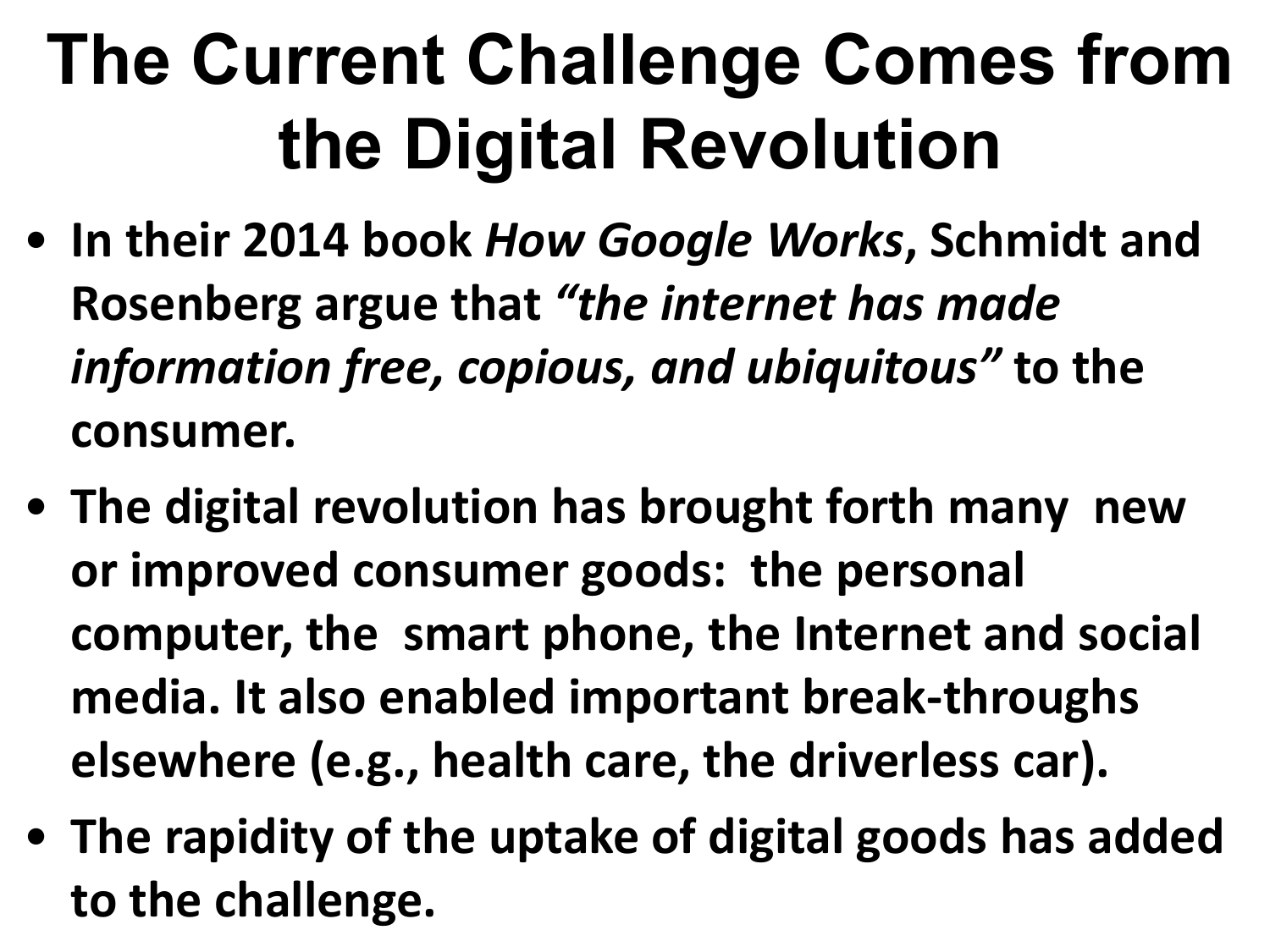# **The Current Challenge Comes from the Digital Revolution**

- **In their 2014 book** *How Google Works***, Schmidt and Rosenberg argue that** *"the internet has made information free, copious, and ubiquitous"* **to the consumer.**
- **The digital revolution has brought forth many new or improved consumer goods: the personal computer, the smart phone, the Internet and social media. It also enabled important break-throughs elsewhere (e.g., health care, the driverless car).**
- **The rapidity of the uptake of digital goods has added to the challenge.**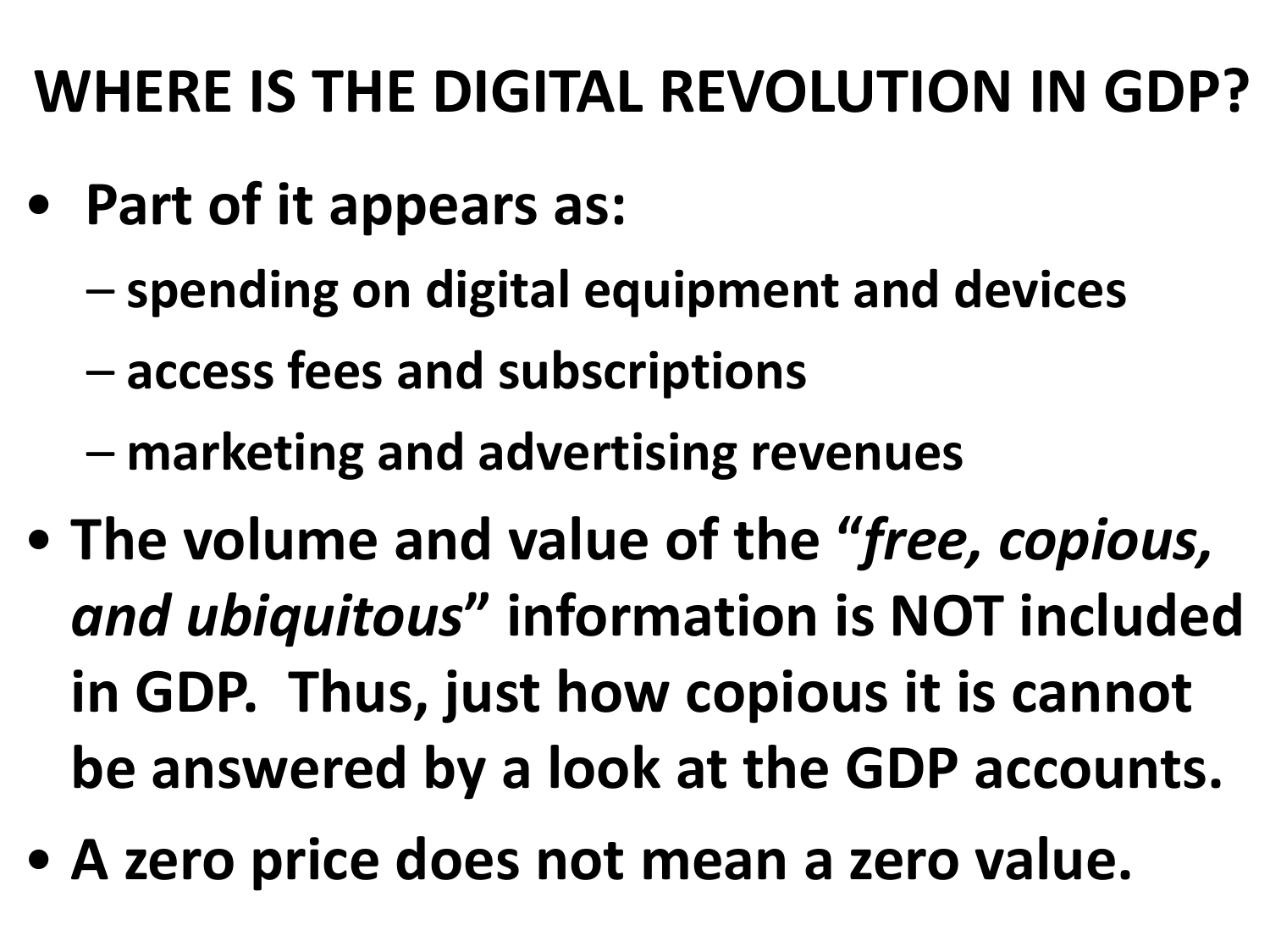#### **WHERE IS THE DIGITAL REVOLUTION IN GDP?**

- **Part of it appears as:**
	- **spending on digital equipment and devices**
	- **access fees and subscriptions**
	- **marketing and advertising revenues**
- **The volume and value of the "***free, copious, and ubiquitous***" information is NOT included in GDP. Thus, just how copious it is cannot be answered by a look at the GDP accounts.**
- **A zero price does not mean a zero value.**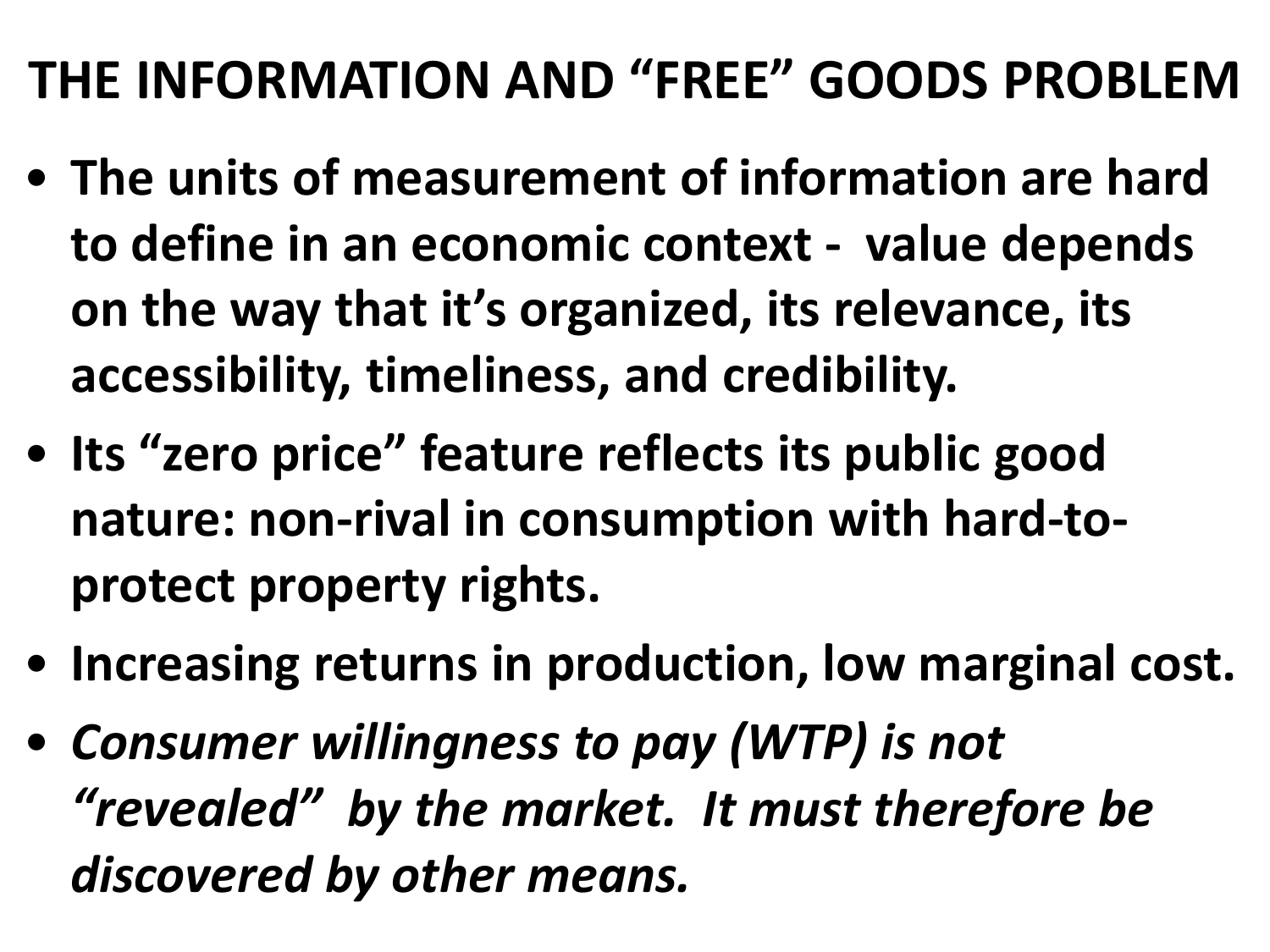#### **THE INFORMATION AND "FREE" GOODS PROBLEM**

- **The units of measurement of information are hard to define in an economic context - value depends on the way that it's organized, its relevance, its accessibility, timeliness, and credibility.**
- **Its "zero price" feature reflects its public good nature: non-rival in consumption with hard-toprotect property rights.**
- **Increasing returns in production, low marginal cost.**
- *Consumer willingness to pay (WTP) is not "revealed" by the market. It must therefore be discovered by other means.*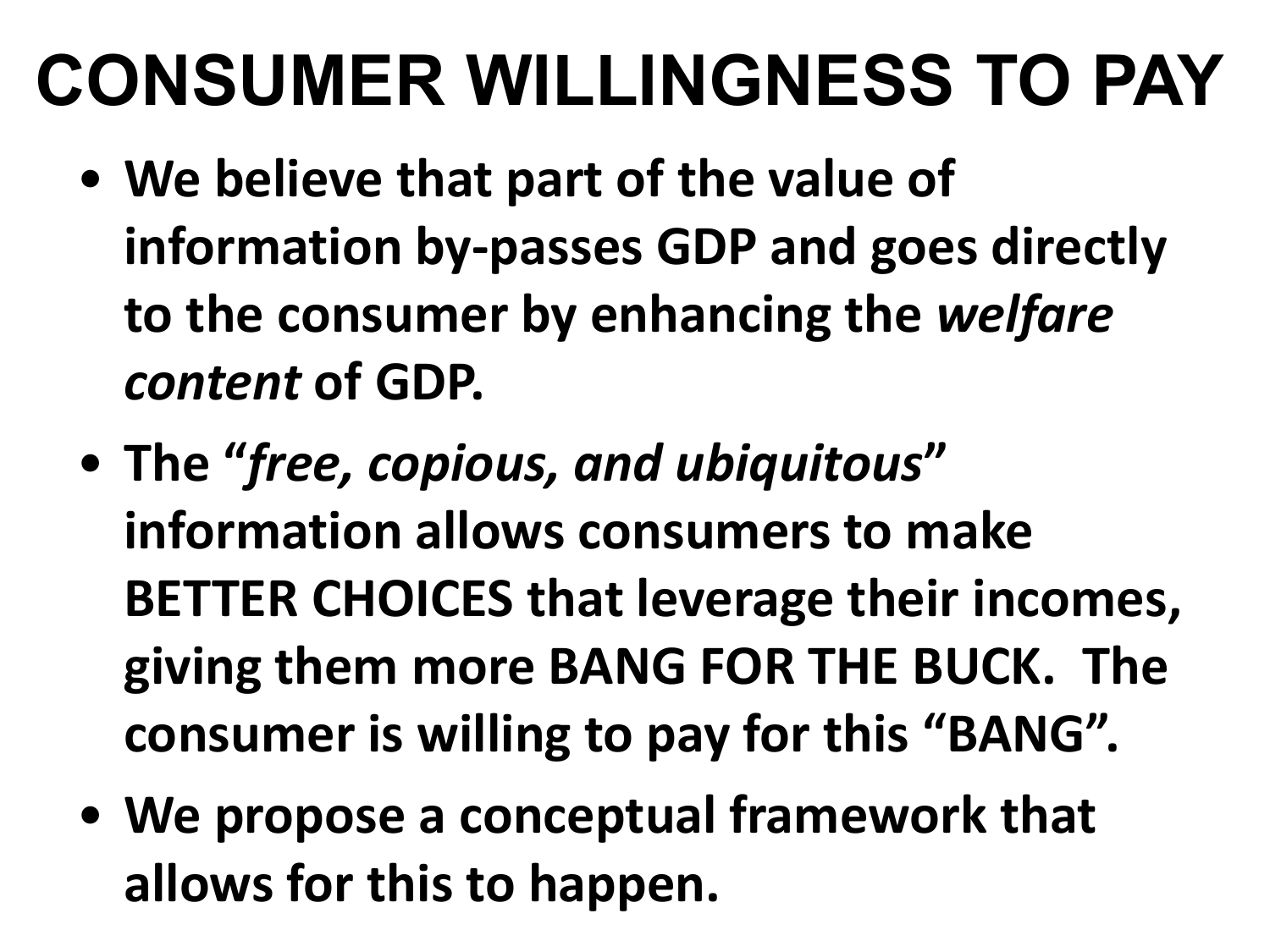### **CONSUMER WILLINGNESS TO PAY**

- **We believe that part of the value of information by-passes GDP and goes directly to the consumer by enhancing the** *welfare content* **of GDP.**
- **The "***free, copious, and ubiquitous***" information allows consumers to make BETTER CHOICES that leverage their incomes, giving them more BANG FOR THE BUCK. The consumer is willing to pay for this "BANG".**
- **We propose a conceptual framework that allows for this to happen.**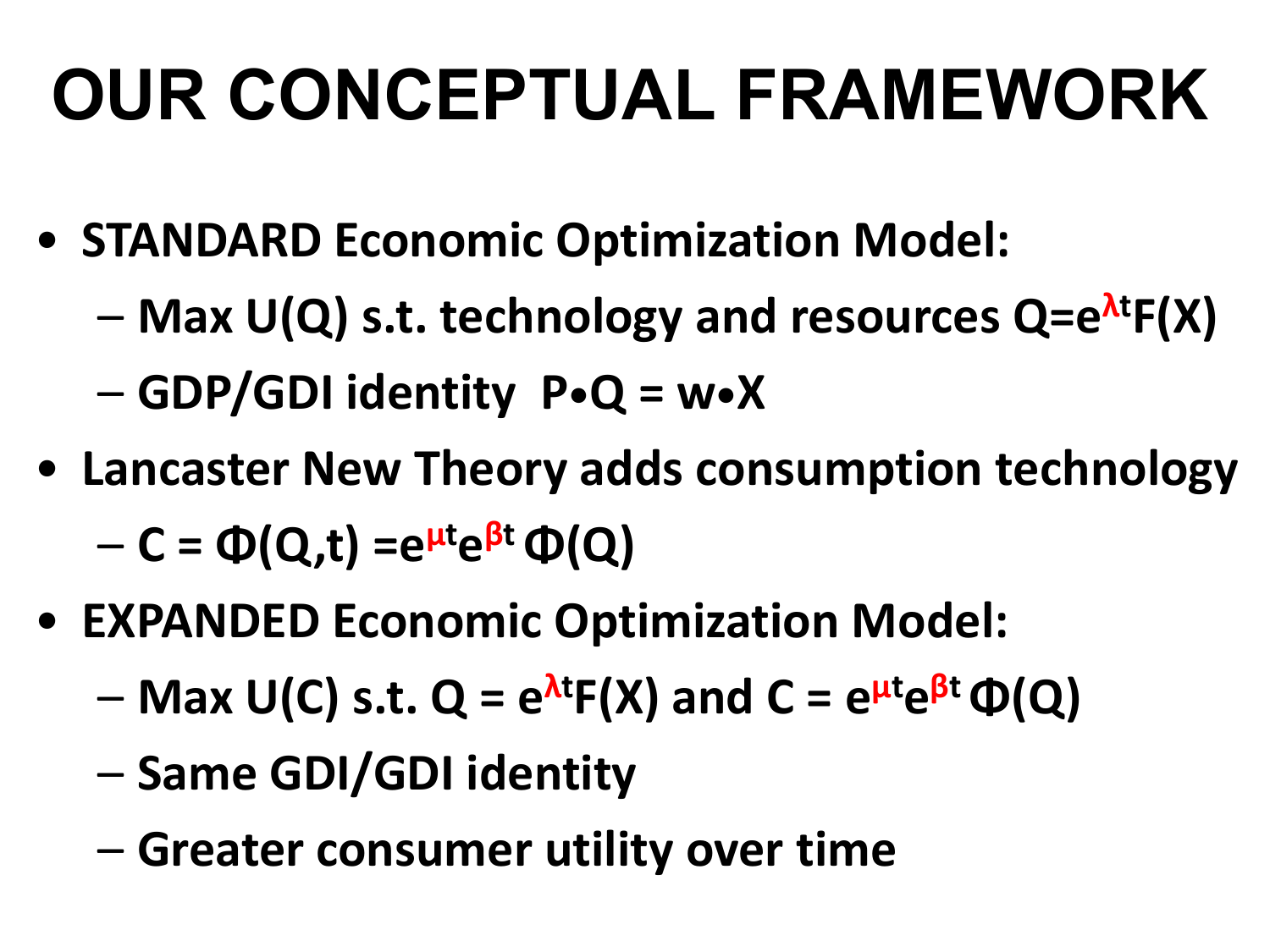# **OUR CONCEPTUAL FRAMEWORK**

- **STANDARD Economic Optimization Model:** 
	- **Max U(Q) s.t. technology and resources Q=e<sup>λ</sup><sup>t</sup> F(X)**
	- **GDP/GDI identity P•Q = w•X**
- **Lancaster New Theory adds consumption technology** – **C = Φ(Q,t) =e<sup>μ</sup><sup>t</sup> e<sup>β</sup><sup>t</sup>Φ(Q)**
- **EXPANDED Economic Optimization Model:** 
	- **Max U(C) s.t. Q = e<sup>λ</sup><sup>t</sup> F(X) and C = e<sup>μ</sup><sup>t</sup> e<sup>β</sup><sup>t</sup>Φ(Q)**
	- **Same GDI/GDI identity**
	- **Greater consumer utility over time**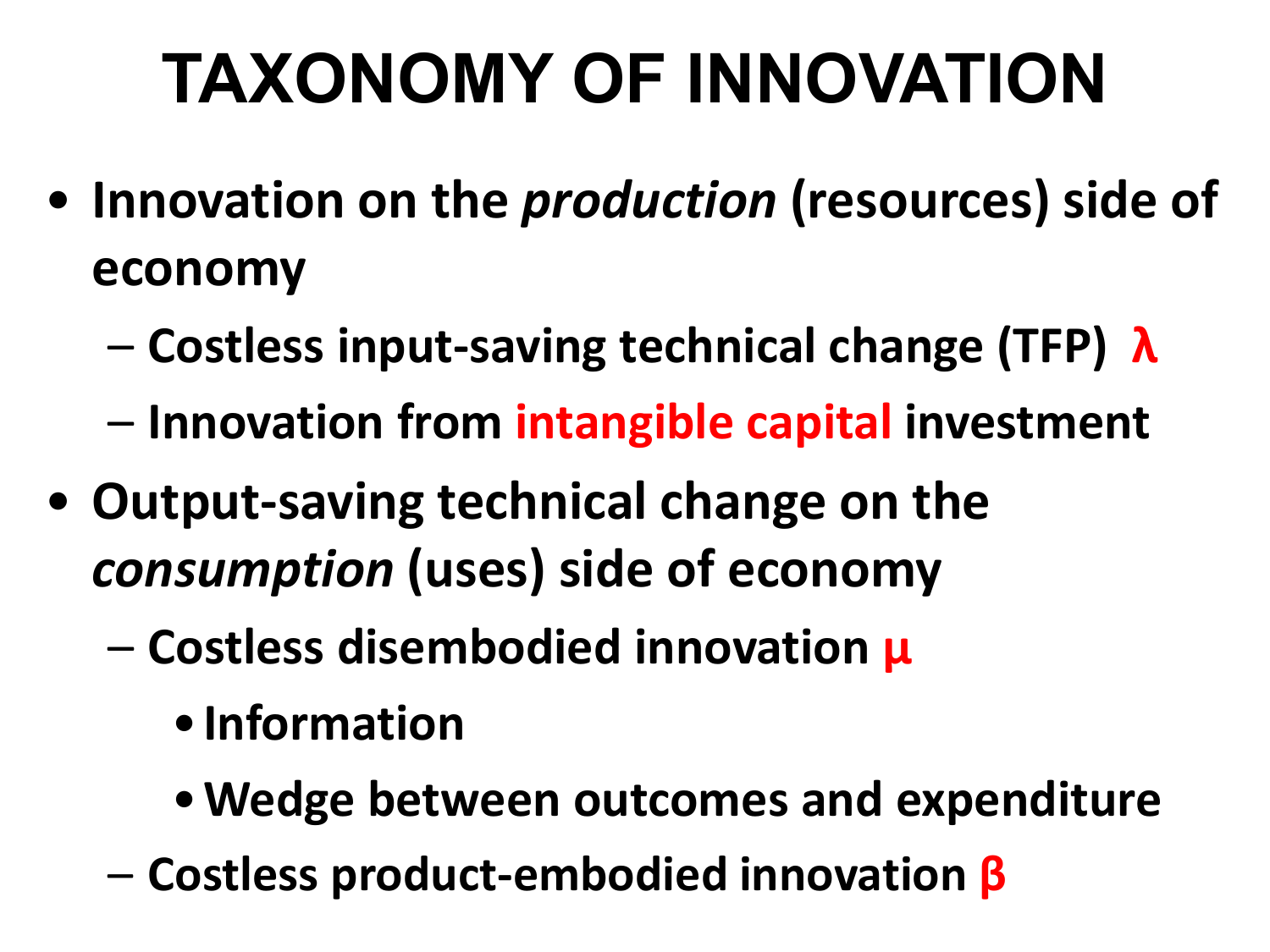# **TAXONOMY OF INNOVATION**

- **Innovation on the** *production* **(resources) side of economy**
	- **Costless input-saving technical change (TFP) λ**
	- **Innovation from intangible capital investment**
- **Output-saving technical change on the**  *consumption* **(uses) side of economy**
	- **Costless disembodied innovation μ**
		- •**Information**
		- •**Wedge between outcomes and expenditure**
	- **Costless product-embodied innovation β**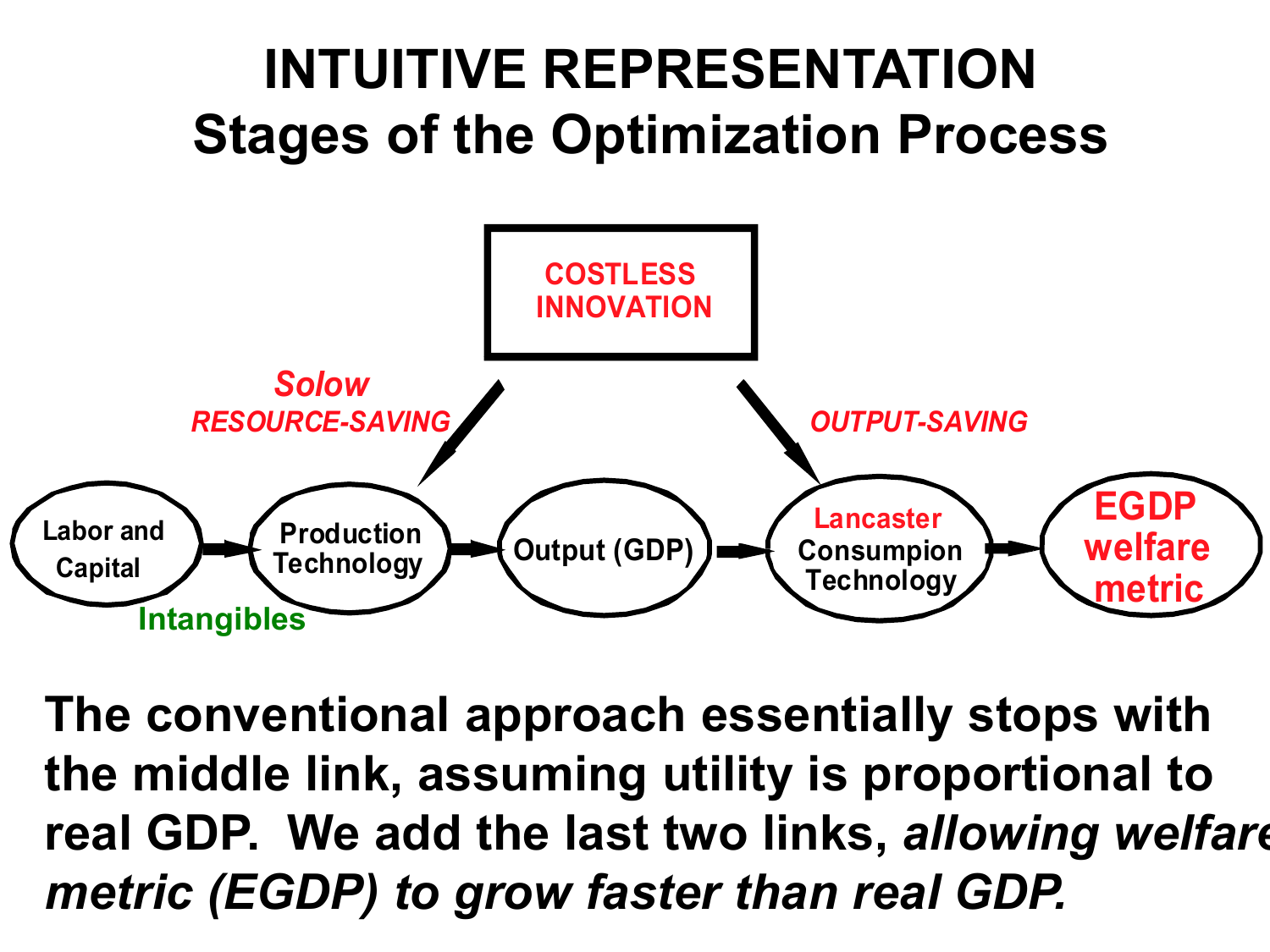

**The conventional approach essentially stops with the middle link, assuming utility is proportional to real GDP. We add the last two links,** *allowing welfare metric (EGDP) to grow faster than real GDP.*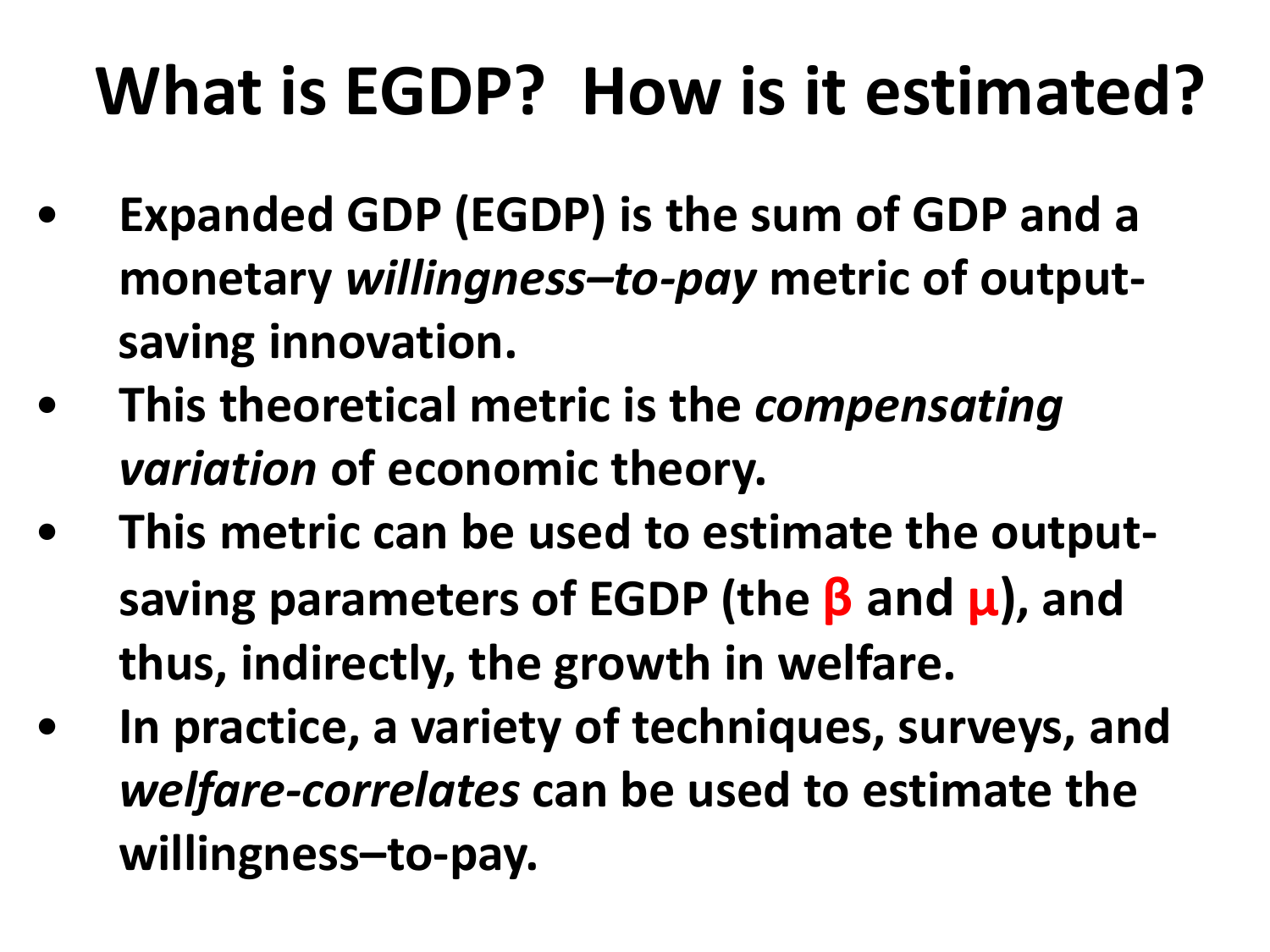### **What is EGDP? How is it estimated?**

- **Expanded GDP (EGDP) is the sum of GDP and a monetary** *willingness–to-pay* **metric of outputsaving innovation.**
- **This theoretical metric is the** *compensating variation* **of economic theory.**
- **This metric can be used to estimate the outputsaving parameters of EGDP (the β and μ), and thus, indirectly, the growth in welfare.**
- **In practice, a variety of techniques, surveys, and**  *welfare-correlates* **can be used to estimate the willingness–to-pay.**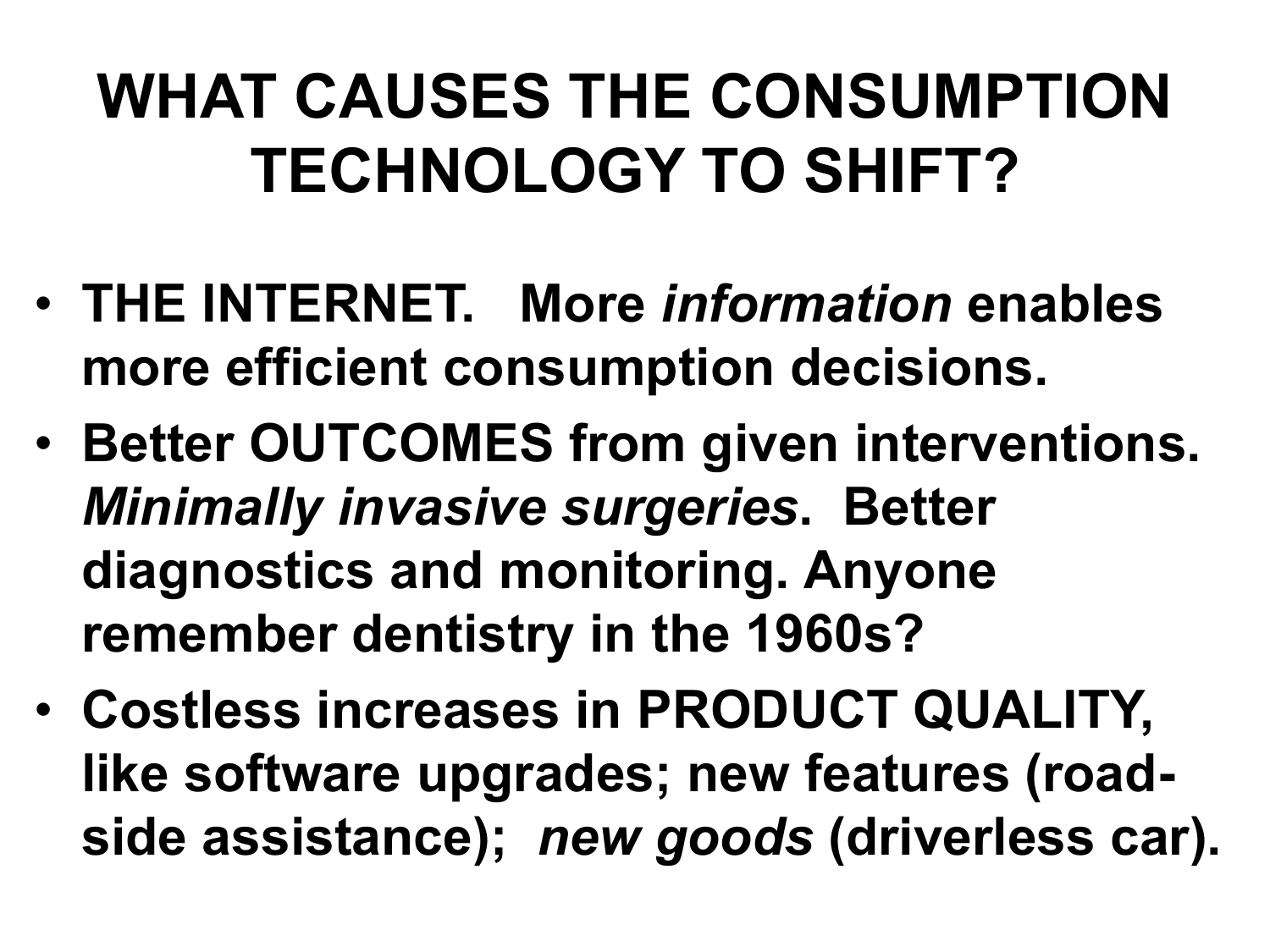#### **WHAT CAUSES THE CONSUMPTION TECHNOLOGY TO SHIFT?**

- **THE INTERNET. More** *information* **enables more efficient consumption decisions.**
- **Better OUTCOMES from given interventions.**  *Minimally invasive surgeries***. Better diagnostics and monitoring. Anyone remember dentistry in the 1960s?**
- **Costless increases in PRODUCT QUALITY, like software upgrades; new features (roadside assistance);** *new goods* **(driverless car).**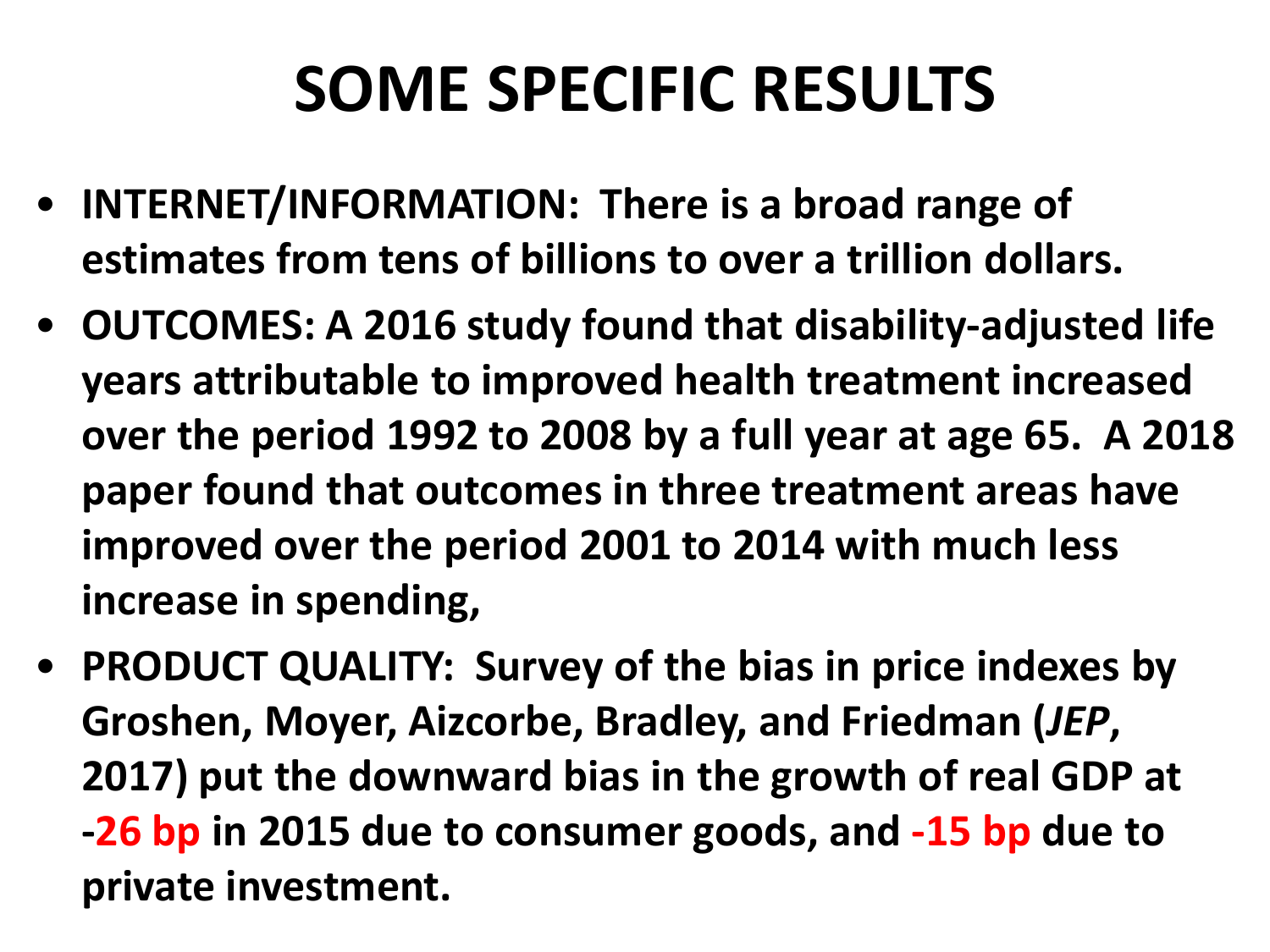### **SOME SPECIFIC RESULTS**

- **INTERNET/INFORMATION: There is a broad range of estimates from tens of billions to over a trillion dollars.**
- **OUTCOMES: A 2016 study found that disability-adjusted life years attributable to improved health treatment increased over the period 1992 to 2008 by a full year at age 65. A 2018 paper found that outcomes in three treatment areas have improved over the period 2001 to 2014 with much less increase in spending,**
- **PRODUCT QUALITY: Survey of the bias in price indexes by Groshen, Moyer, Aizcorbe, Bradley, and Friedman (***JEP***, 2017) put the downward bias in the growth of real GDP at -26 bp in 2015 due to consumer goods, and -15 bp due to private investment.**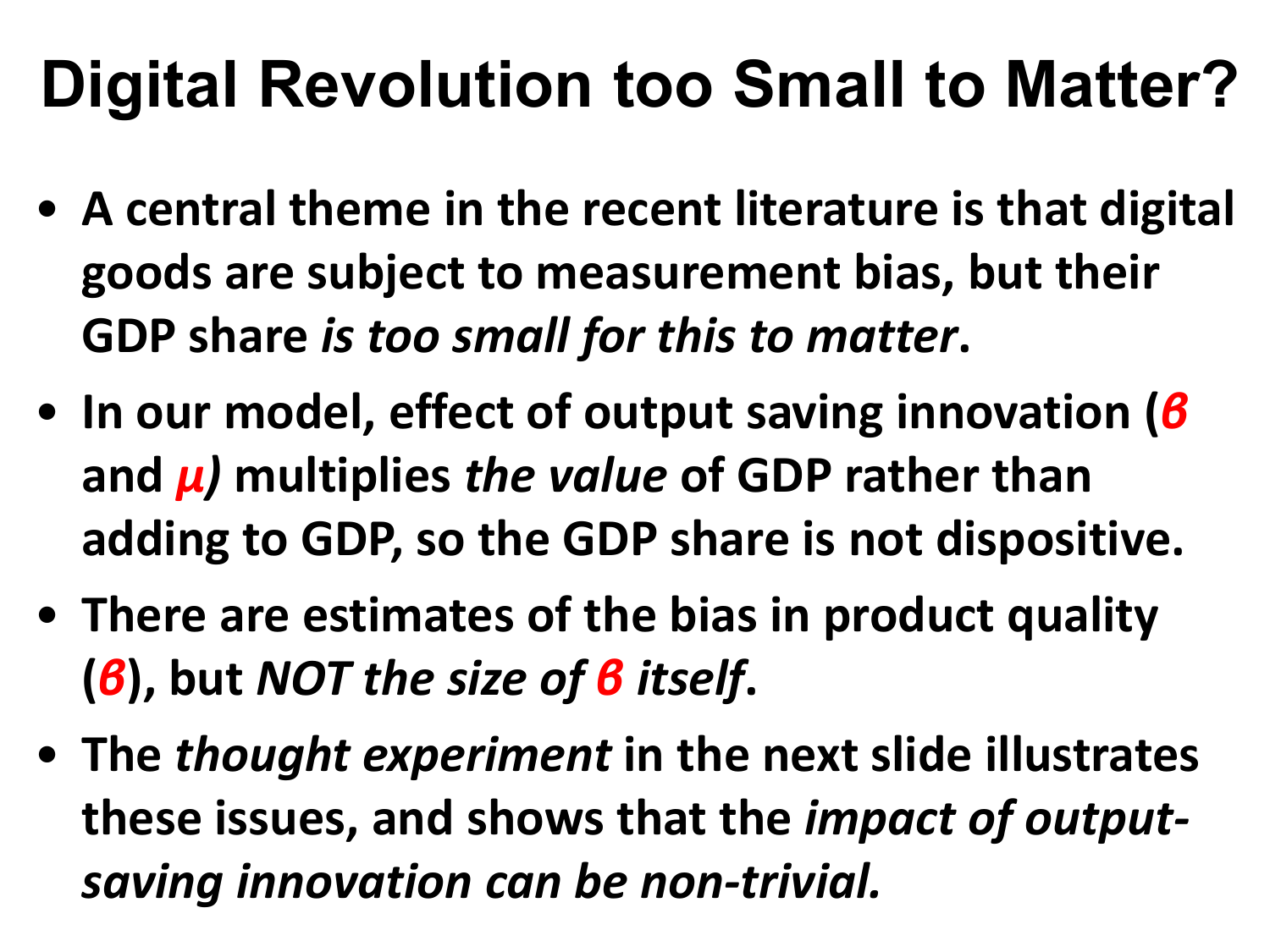### **Digital Revolution too Small to Matter?**

- **A central theme in the recent literature is that digital goods are subject to measurement bias, but their GDP share** *is too small for this to matter***.**
- **In our model, effect of output saving innovation (***β* **and** *μ)* **multiplies** *the value* **of GDP rather than adding to GDP, so the GDP share is not dispositive.**
- **There are estimates of the bias in product quality (***β***), but** *NOT the size of β itself***.**
- **The** *thought experiment* **in the next slide illustrates these issues, and shows that the** *impact of outputsaving innovation can be non-trivial.*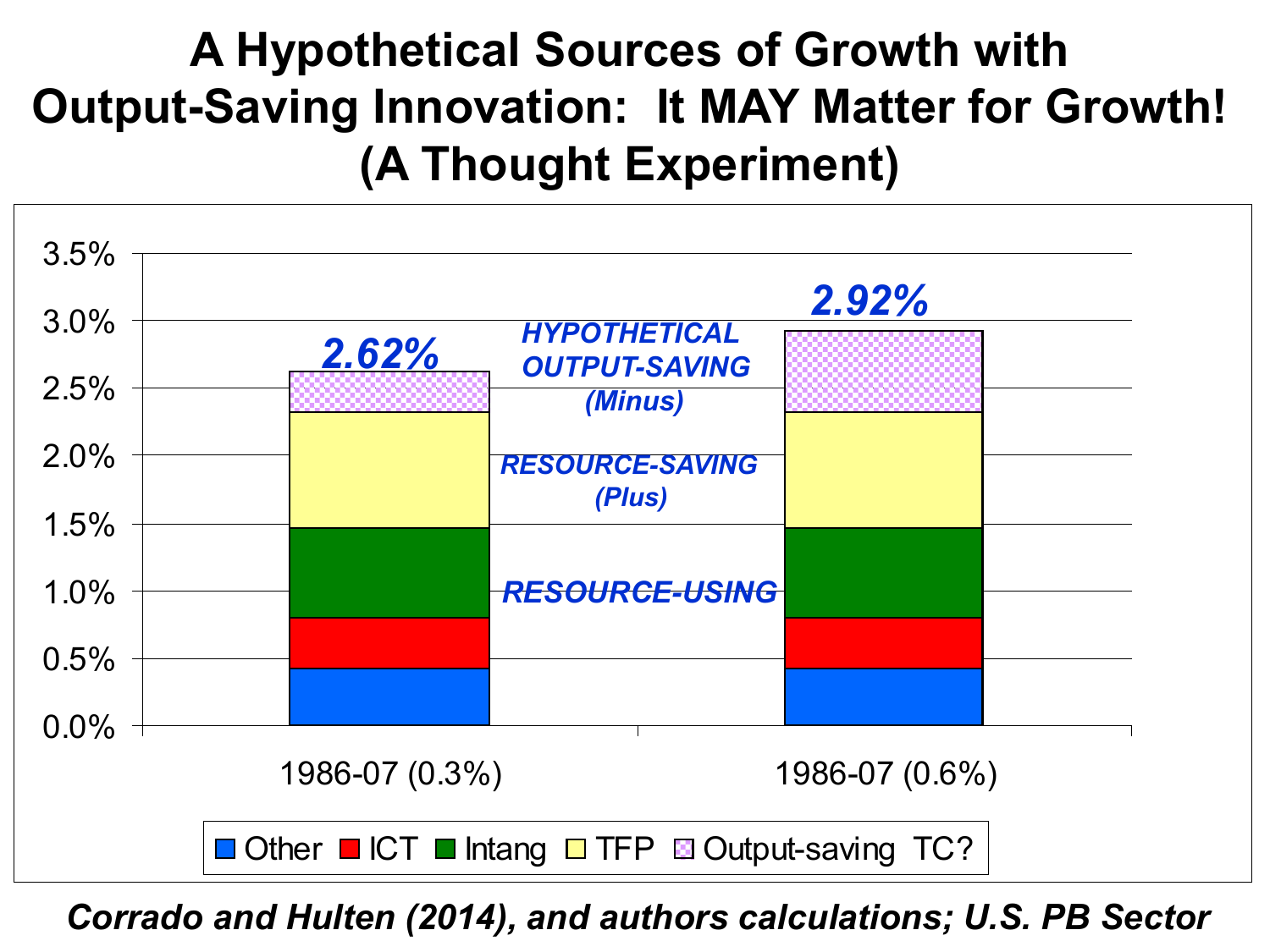#### **A Hypothetical Sources of Growth with Output-Saving Innovation: It MAY Matter for Growth! (A Thought Experiment)**



*Corrado and Hulten (2014), and authors calculations; U.S. PB Sector*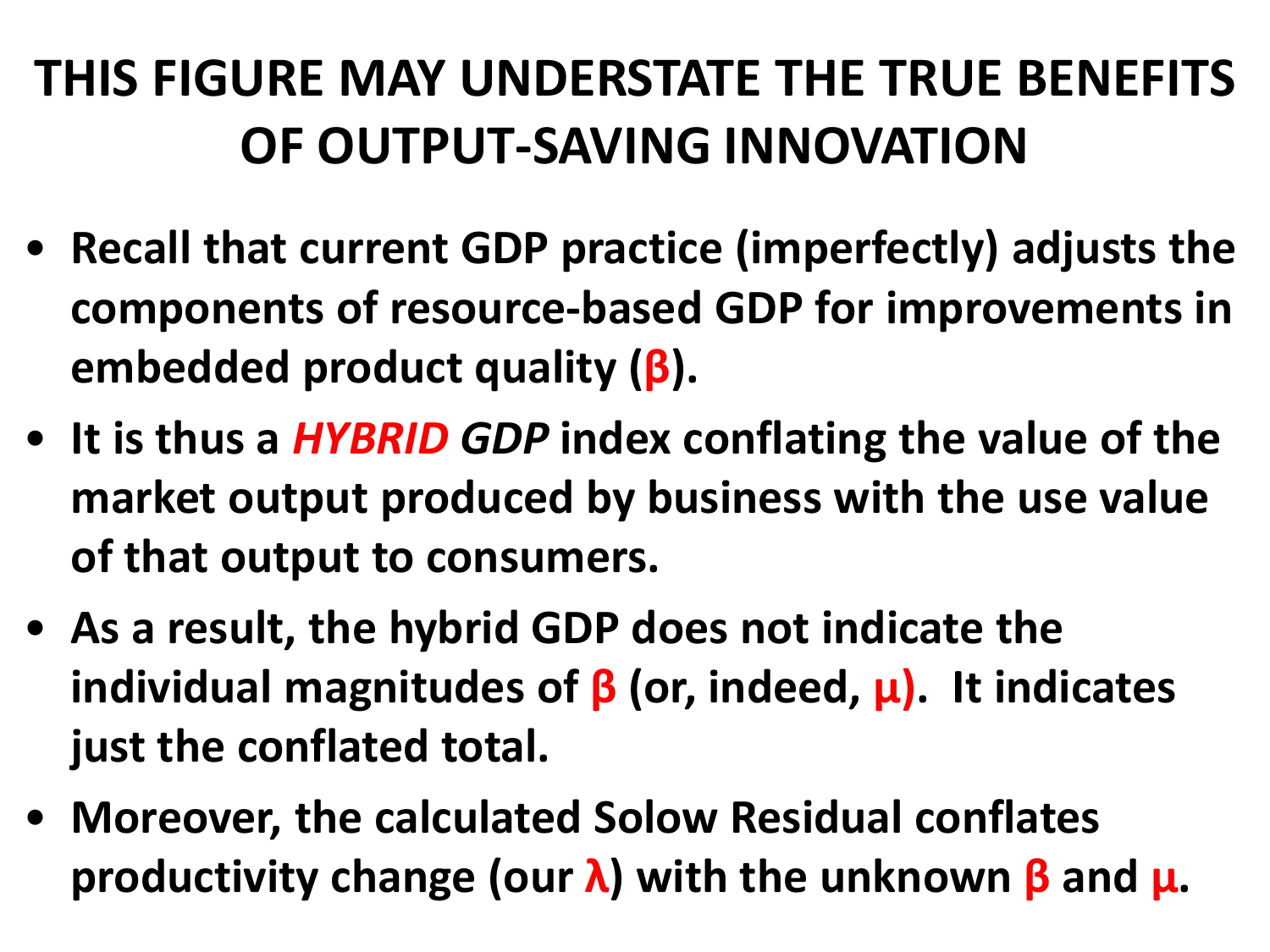#### **THIS FIGURE MAY UNDERSTATE THE TRUE BENEFITS OF OUTPUT-SAVING INNOVATION**

- **Recall that current GDP practice (imperfectly) adjusts the components of resource-based GDP for improvements in embedded product quality (β).**
- **It is thus a** *HYBRID GDP* **index conflating the value of the market output produced by business with the use value of that output to consumers.**
- **As a result, the hybrid GDP does not indicate the individual magnitudes of β (or, indeed, μ). It indicates just the conflated total.**
- **Moreover, the calculated Solow Residual conflates productivity change (our λ) with the unknown β and μ.**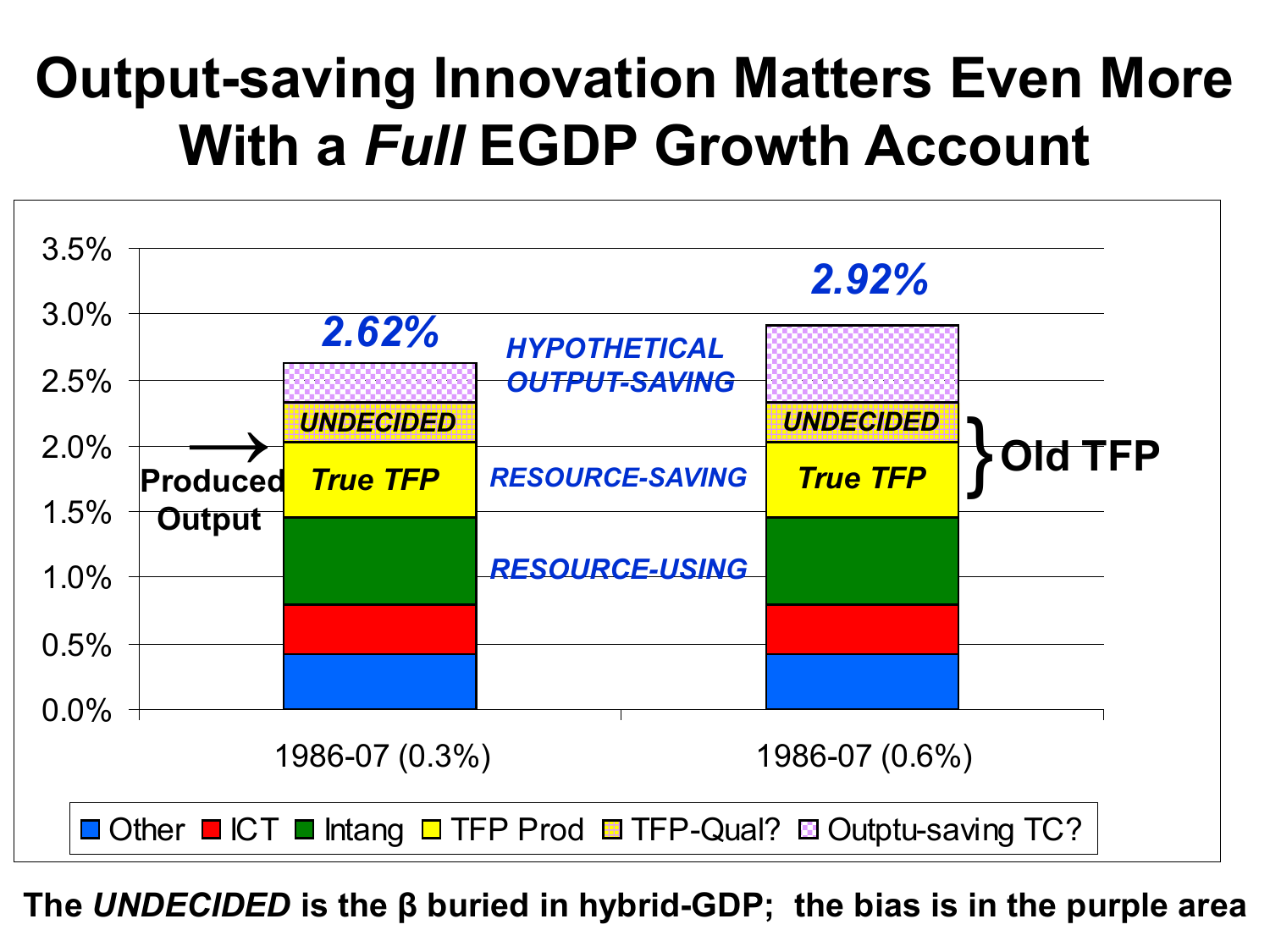#### **Output-saving Innovation Matters Even More With a** *Full* **EGDP Growth Account**



**The** *UNDECIDED* **is the β buried in hybrid-GDP; the bias is in the purple area**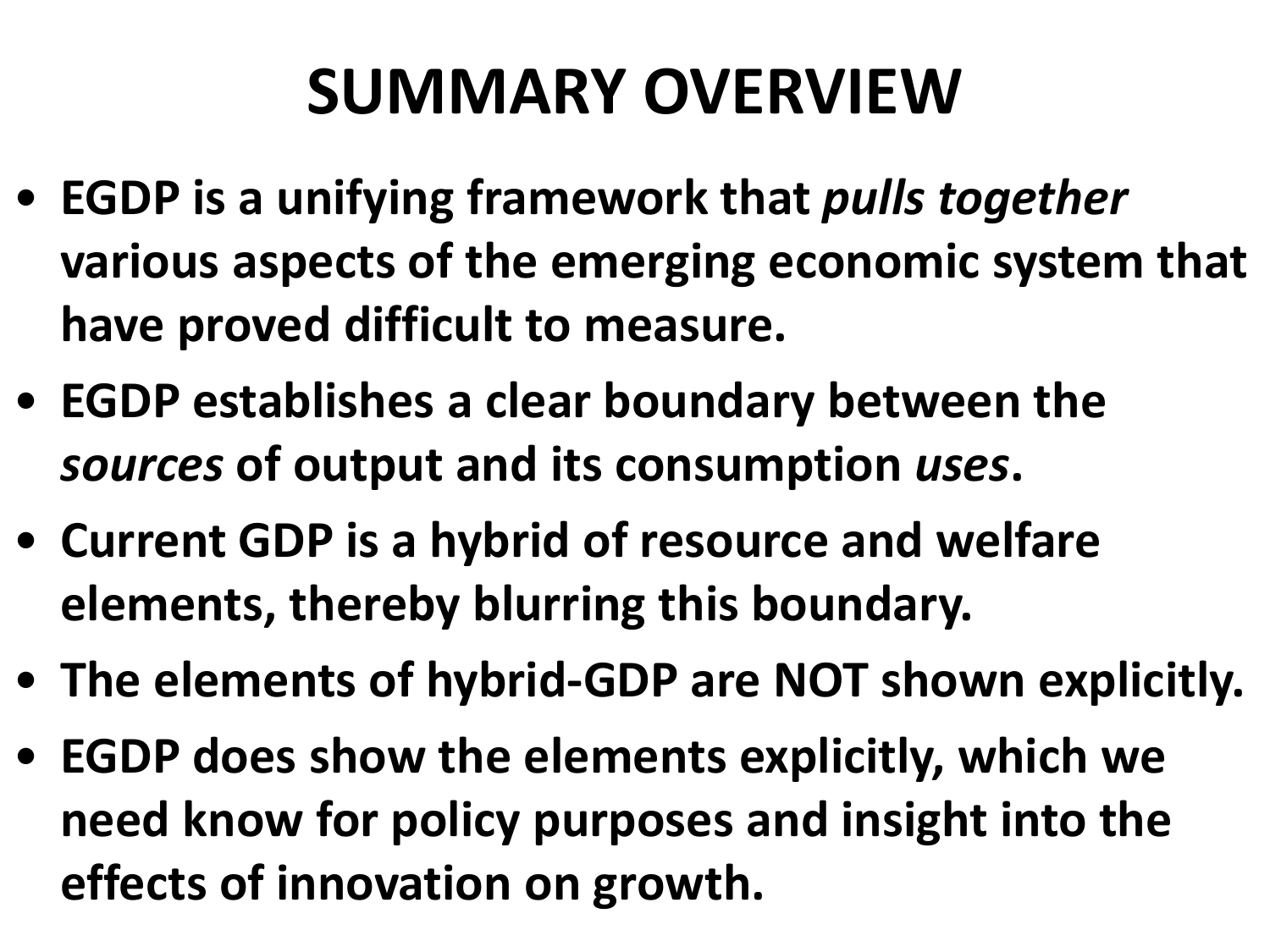### **SUMMARY OVERVIEW**

- **EGDP is a unifying framework that** *pulls together* **various aspects of the emerging economic system that have proved difficult to measure.**
- **EGDP establishes a clear boundary between the**  *sources* **of output and its consumption** *uses***.**
- **Current GDP is a hybrid of resource and welfare elements, thereby blurring this boundary.**
- **The elements of hybrid-GDP are NOT shown explicitly.**
- **EGDP does show the elements explicitly, which we need know for policy purposes and insight into the effects of innovation on growth.**